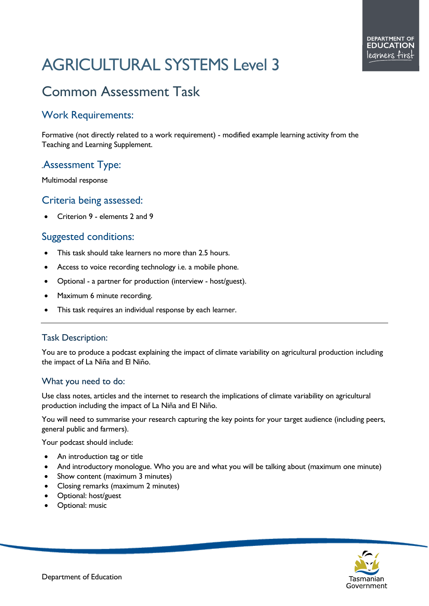# AGRICULTURAL SYSTEMS Level 3

# Common Assessment Task

### Work Requirements:

Formative (not directly related to a work requirement) - modified example learning activity from the Teaching and Learning Supplement.

# *.*Assessment Type:

Multimodal response

#### Criteria being assessed:

• Criterion 9 - elements 2 and 9

#### Suggested conditions:

- This task should take learners no more than 2.5 hours.
- Access to voice recording technology i.e. a mobile phone.
- Optional a partner for production (interview host/guest).
- Maximum 6 minute recording.
- This task requires an individual response by each learner.

#### Task Description:

You are to produce a podcast explaining the impact of climate variability on agricultural production including the impact of La Niña and El Niño.

#### What you need to do:

Use class notes, articles and the internet to research the implications of climate variability on agricultural production including the impact of La Niña and El Niño.

You will need to summarise your research capturing the key points for your target audience (including peers, general public and farmers).

Your podcast should include:

- An introduction tag or title
- And introductory monologue. Who you are and what you will be talking about (maximum one minute)
- Show content (maximum 3 minutes)
- Closing remarks (maximum 2 minutes)
- Optional: host/guest
- Optional: music